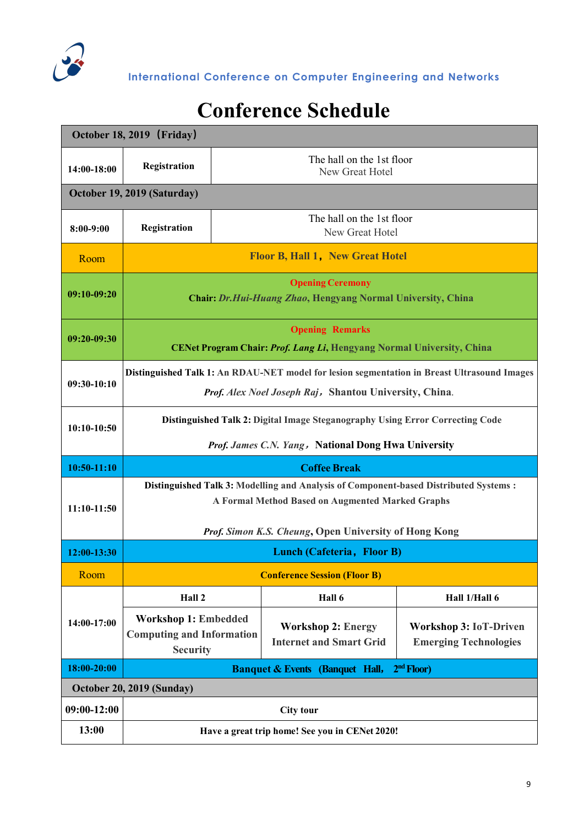

**International Conference on Computer Engineering and Networks**

## **Conference Schedule**

|               | October 18, 2019 (Friday)                                                                                                                             |                                              |                                                             |                                                               |  |  |
|---------------|-------------------------------------------------------------------------------------------------------------------------------------------------------|----------------------------------------------|-------------------------------------------------------------|---------------------------------------------------------------|--|--|
| 14:00-18:00   | Registration                                                                                                                                          | The hall on the 1st floor<br>New Great Hotel |                                                             |                                                               |  |  |
|               | October 19, 2019 (Saturday)                                                                                                                           |                                              |                                                             |                                                               |  |  |
| $8:00-9:00$   | Registration                                                                                                                                          | The hall on the 1st floor<br>New Great Hotel |                                                             |                                                               |  |  |
| Room          | Floor B, Hall 1, New Great Hotel                                                                                                                      |                                              |                                                             |                                                               |  |  |
| $09:10-09:20$ | <b>Opening Ceremony</b><br>Chair: Dr.Hui-Huang Zhao, Hengyang Normal University, China                                                                |                                              |                                                             |                                                               |  |  |
| 09:20-09:30   | <b>Opening Remarks</b><br>CENet Program Chair: Prof. Lang Li, Hengyang Normal University, China                                                       |                                              |                                                             |                                                               |  |  |
| $09:30-10:10$ | Distinguished Talk 1: An RDAU-NET model for lesion segmentation in Breast Ultrasound Images<br>Prof. Alex Noel Joseph Raj, Shantou University, China. |                                              |                                                             |                                                               |  |  |
| $10:10-10:50$ | Distinguished Talk 2: Digital Image Steganography Using Error Correcting Code<br>Prof. James C.N. Yang, National Dong Hwa University                  |                                              |                                                             |                                                               |  |  |
| $10:50-11:10$ | <b>Coffee Break</b>                                                                                                                                   |                                              |                                                             |                                                               |  |  |
| 11:10-11:50   | Distinguished Talk 3: Modelling and Analysis of Component-based Distributed Systems :<br>A Formal Method Based on Augmented Marked Graphs             |                                              |                                                             |                                                               |  |  |
|               | <b>Prof. Simon K.S. Cheung, Open University of Hong Kong</b>                                                                                          |                                              |                                                             |                                                               |  |  |
| 12:00-13:30   | Lunch (Cafeteria, Floor B)                                                                                                                            |                                              |                                                             |                                                               |  |  |
| Room          | <b>Conference Session (Floor B)</b>                                                                                                                   |                                              |                                                             |                                                               |  |  |
| 14:00-17:00   | Hall 2                                                                                                                                                |                                              | Hall 6                                                      | Hall 1/Hall 6                                                 |  |  |
|               | <b>Workshop 1: Embedded</b><br><b>Computing and Information</b><br><b>Security</b>                                                                    |                                              | <b>Workshop 2: Energy</b><br><b>Internet and Smart Grid</b> | <b>Workshop 3: IoT-Driven</b><br><b>Emerging Technologies</b> |  |  |
| 18:00-20:00   | 2 <sup>nd</sup> Floor)<br><b>Banquet &amp; Events (Banquet Hall,</b>                                                                                  |                                              |                                                             |                                                               |  |  |
|               | October 20, 2019 (Sunday)                                                                                                                             |                                              |                                                             |                                                               |  |  |
| 09:00-12:00   | <b>City tour</b>                                                                                                                                      |                                              |                                                             |                                                               |  |  |
| 13:00         | Have a great trip home! See you in CENet 2020!                                                                                                        |                                              |                                                             |                                                               |  |  |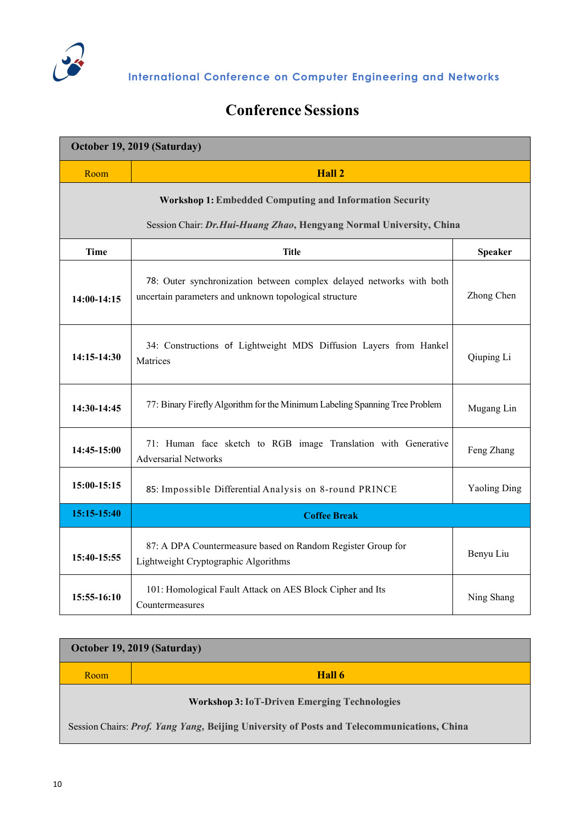

## **Conference Sessions**

| October 19, 2019 (Saturday)                                          |                                                                                                                                |                     |  |  |  |  |  |  |
|----------------------------------------------------------------------|--------------------------------------------------------------------------------------------------------------------------------|---------------------|--|--|--|--|--|--|
| Room                                                                 | Hall 2                                                                                                                         |                     |  |  |  |  |  |  |
| <b>Workshop 1: Embedded Computing and Information Security</b>       |                                                                                                                                |                     |  |  |  |  |  |  |
| Session Chair: Dr. Hui-Huang Zhao, Hengyang Normal University, China |                                                                                                                                |                     |  |  |  |  |  |  |
| <b>Time</b>                                                          | <b>Title</b>                                                                                                                   | <b>Speaker</b>      |  |  |  |  |  |  |
| 14:00-14:15                                                          | 78: Outer synchronization between complex delayed networks with both<br>uncertain parameters and unknown topological structure | Zhong Chen          |  |  |  |  |  |  |
| 14:15-14:30                                                          | 34: Constructions of Lightweight MDS Diffusion Layers from Hankel<br>Matrices                                                  | Qiuping Li          |  |  |  |  |  |  |
| 14:30-14:45                                                          | 77: Binary Firefly Algorithm for the Minimum Labeling Spanning Tree Problem                                                    | Mugang Lin          |  |  |  |  |  |  |
| 14:45-15:00                                                          | 71: Human face sketch to RGB image Translation with Generative<br><b>Adversarial Networks</b>                                  | Feng Zhang          |  |  |  |  |  |  |
| 15:00-15:15                                                          | 85: Impossible Differential Analysis on 8-round PRINCE                                                                         | <b>Yaoling Ding</b> |  |  |  |  |  |  |
| 15:15-15:40                                                          | <b>Coffee Break</b>                                                                                                            |                     |  |  |  |  |  |  |
| 15:40-15:55                                                          | 87: A DPA Countermeasure based on Random Register Group for<br>Lightweight Cryptographic Algorithms                            | Benyu Liu           |  |  |  |  |  |  |
| 15:55-16:10                                                          | 101: Homological Fault Attack on AES Block Cipher and Its<br>Countermeasures                                                   | Ning Shang          |  |  |  |  |  |  |

|      | October 19, 2019 (Saturday)                                                                                                                       |
|------|---------------------------------------------------------------------------------------------------------------------------------------------------|
| Room | Hall 6                                                                                                                                            |
|      | <b>Workshop 3: IoT-Driven Emerging Technologies</b><br>Session Chairs: Prof. Yang Yang, Beijing University of Posts and Telecommunications, China |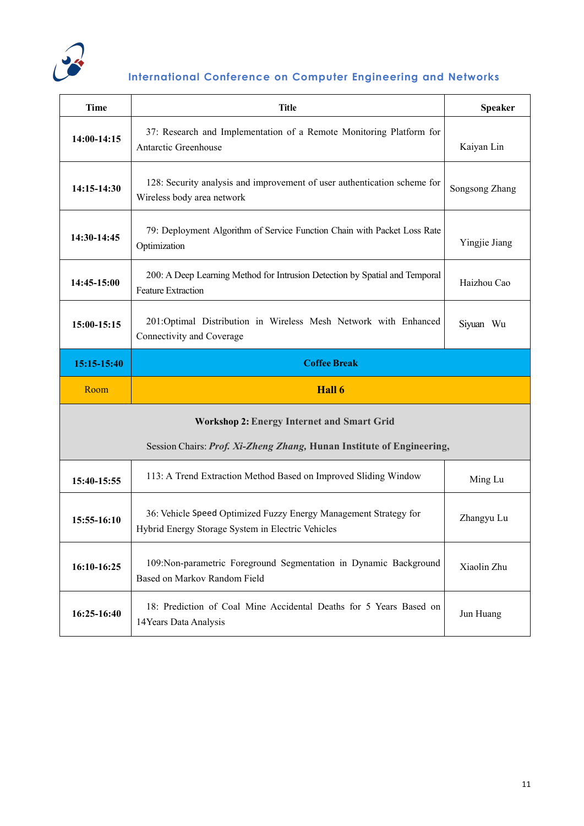

## **International Conference on Computer Engineering and Networks**

| <b>Time</b> | <b>Title</b>                                                                                                          | <b>Speaker</b> |  |  |
|-------------|-----------------------------------------------------------------------------------------------------------------------|----------------|--|--|
| 14:00-14:15 | 37: Research and Implementation of a Remote Monitoring Platform for<br>Antarctic Greenhouse                           | Kaiyan Lin     |  |  |
| 14:15-14:30 | 128: Security analysis and improvement of user authentication scheme for<br>Wireless body area network                | Songsong Zhang |  |  |
| 14:30-14:45 | 79: Deployment Algorithm of Service Function Chain with Packet Loss Rate<br>Yingjie Jiang<br>Optimization             |                |  |  |
| 14:45-15:00 | 200: A Deep Learning Method for Intrusion Detection by Spatial and Temporal<br>Feature Extraction                     | Haizhou Cao    |  |  |
| 15:00-15:15 | 201:Optimal Distribution in Wireless Mesh Network with Enhanced<br>Connectivity and Coverage                          | Siyuan Wu      |  |  |
|             | <b>Coffee Break</b>                                                                                                   |                |  |  |
| 15:15-15:40 |                                                                                                                       |                |  |  |
| Room        | Hall 6                                                                                                                |                |  |  |
|             | <b>Workshop 2: Energy Internet and Smart Grid</b>                                                                     |                |  |  |
|             | Session Chairs: Prof. Xi-Zheng Zhang, Hunan Institute of Engineering,                                                 |                |  |  |
| 15:40-15:55 | 113: A Trend Extraction Method Based on Improved Sliding Window                                                       | Ming Lu        |  |  |
| 15:55-16:10 | 36: Vehicle Speed Optimized Fuzzy Energy Management Strategy for<br>Hybrid Energy Storage System in Electric Vehicles | Zhangyu Lu     |  |  |
| 16:10-16:25 | 109:Non-parametric Foreground Segmentation in Dynamic Background<br>Based on Markov Random Field                      | Xiaolin Zhu    |  |  |